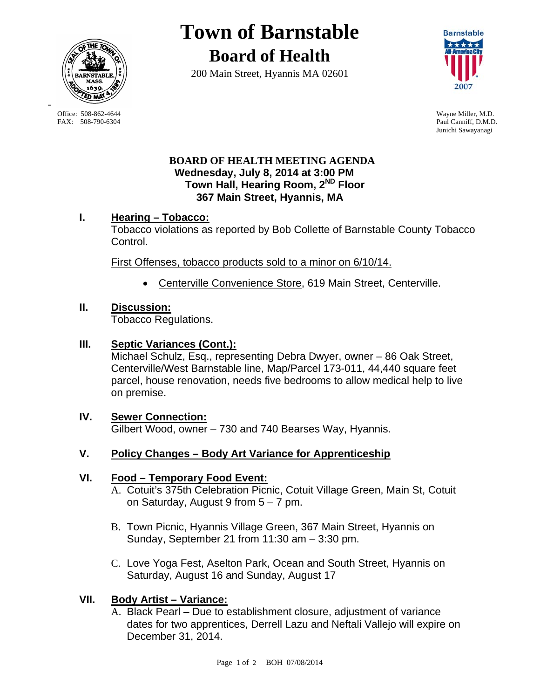

**Town of Barnstable Board of Health**

200 Main Street, Hyannis MA 02601



Paul Canniff, D.M.D. Junichi Sawayanagi

## **BOARD OF HEALTH MEETING AGENDA Wednesday, July 8, 2014 at 3:00 PM Town Hall, Hearing Room, 2ND Floor 367 Main Street, Hyannis, MA**

# **I. Hearing – Tobacco:**

Tobacco violations as reported by Bob Collette of Barnstable County Tobacco Control.

First Offenses, tobacco products sold to a minor on 6/10/14.

Centerville Convenience Store, 619 Main Street, Centerville.

#### **II. Discussion:**

Tobacco Regulations.

## **III. Septic Variances (Cont.):**

Michael Schulz, Esq., representing Debra Dwyer, owner – 86 Oak Street, Centerville/West Barnstable line, Map/Parcel 173-011, 44,440 square feet parcel, house renovation, needs five bedrooms to allow medical help to live on premise.

**IV. Sewer Connection:** Gilbert Wood, owner – 730 and 740 Bearses Way, Hyannis.

## **V. Policy Changes – Body Art Variance for Apprenticeship**

## **VI. Food – Temporary Food Event:**

- A. Cotuit's 375th Celebration Picnic, Cotuit Village Green, Main St, Cotuit on Saturday, August 9 from 5 – 7 pm.
- B. Town Picnic, Hyannis Village Green, 367 Main Street, Hyannis on Sunday, September 21 from 11:30 am – 3:30 pm.
- C. Love Yoga Fest, Aselton Park, Ocean and South Street, Hyannis on Saturday, August 16 and Sunday, August 17

## **VII. Body Artist – Variance:**

A. Black Pearl – Due to establishment closure, adjustment of variance dates for two apprentices, Derrell Lazu and Neftali Vallejo will expire on December 31, 2014.

Office: 508-862-4644 Wayne Miller, M.D.<br>
FAX: 508-790-6304 Paul Canniff. D.M.D

-